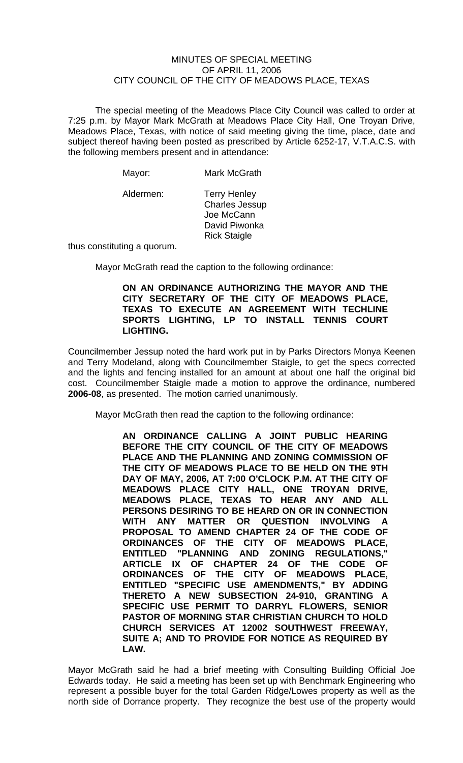## MINUTES OF SPECIAL MEETING OF APRIL 11, 2006 CITY COUNCIL OF THE CITY OF MEADOWS PLACE, TEXAS

The special meeting of the Meadows Place City Council was called to order at 7:25 p.m. by Mayor Mark McGrath at Meadows Place City Hall, One Troyan Drive, Meadows Place, Texas, with notice of said meeting giving the time, place, date and subject thereof having been posted as prescribed by Article 6252-17, V.T.A.C.S. with the following members present and in attendance:

| Mayor: | Mark McGrath |
|--------|--------------|
|--------|--------------|

Aldermen: Terry Henley Charles Jessup Joe McCann David Piwonka Rick Staigle

thus constituting a quorum.

Mayor McGrath read the caption to the following ordinance:

## **ON AN ORDINANCE AUTHORIZING THE MAYOR AND THE CITY SECRETARY OF THE CITY OF MEADOWS PLACE, TEXAS TO EXECUTE AN AGREEMENT WITH TECHLINE SPORTS LIGHTING, LP TO INSTALL TENNIS COURT LIGHTING.**

Councilmember Jessup noted the hard work put in by Parks Directors Monya Keenen and Terry Modeland, along with Councilmember Staigle, to get the specs corrected and the lights and fencing installed for an amount at about one half the original bid cost. Councilmember Staigle made a motion to approve the ordinance, numbered **2006-08**, as presented. The motion carried unanimously.

Mayor McGrath then read the caption to the following ordinance:

**AN ORDINANCE CALLING A JOINT PUBLIC HEARING BEFORE THE CITY COUNCIL OF THE CITY OF MEADOWS PLACE AND THE PLANNING AND ZONING COMMISSION OF THE CITY OF MEADOWS PLACE TO BE HELD ON THE 9TH DAY OF MAY, 2006, AT 7:00 O'CLOCK P.M. AT THE CITY OF MEADOWS PLACE CITY HALL, ONE TROYAN DRIVE, MEADOWS PLACE, TEXAS TO HEAR ANY AND ALL PERSONS DESIRING TO BE HEARD ON OR IN CONNECTION WITH ANY MATTER OR QUESTION INVOLVING A PROPOSAL TO AMEND CHAPTER 24 OF THE CODE OF ORDINANCES OF THE CITY OF MEADOWS PLACE, ENTITLED "PLANNING AND ZONING REGULATIONS," ARTICLE IX OF CHAPTER 24 OF THE CODE OF ORDINANCES OF THE CITY OF MEADOWS PLACE, ENTITLED "SPECIFIC USE AMENDMENTS," BY ADDING THERETO A NEW SUBSECTION 24-910, GRANTING A SPECIFIC USE PERMIT TO DARRYL FLOWERS, SENIOR PASTOR OF MORNING STAR CHRISTIAN CHURCH TO HOLD CHURCH SERVICES AT 12002 SOUTHWEST FREEWAY, SUITE A; AND TO PROVIDE FOR NOTICE AS REQUIRED BY LAW.** 

Mayor McGrath said he had a brief meeting with Consulting Building Official Joe Edwards today. He said a meeting has been set up with Benchmark Engineering who represent a possible buyer for the total Garden Ridge/Lowes property as well as the north side of Dorrance property. They recognize the best use of the property would